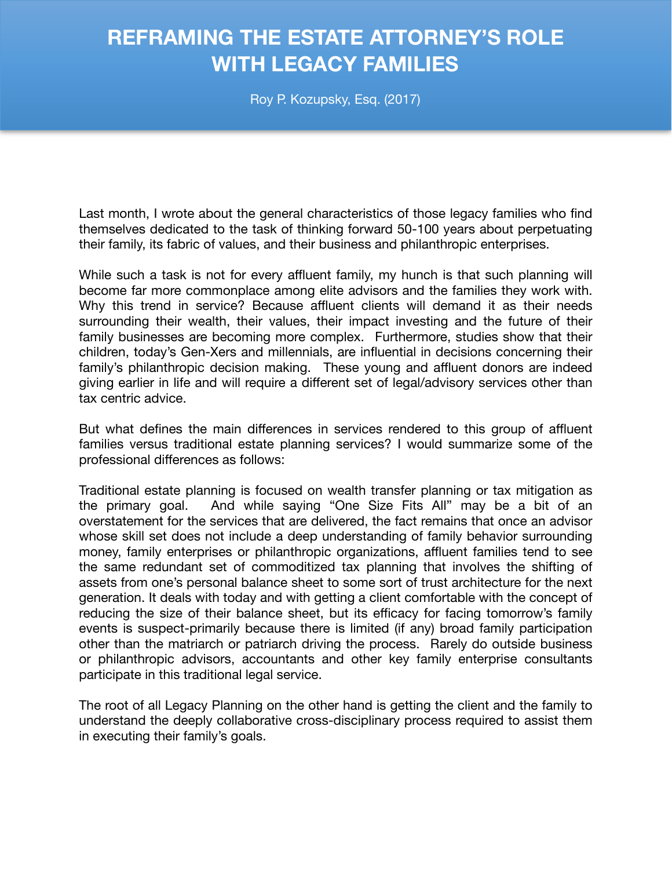## **REFRAMING THE ESTATE ATTORNEY'S ROLE WITH LEGACY FAMILIES**

Roy P. Kozupsky, Esq. (2017)

Last month, I wrote about the general characteristics of those legacy families who find themselves dedicated to the task of thinking forward 50-100 years about perpetuating their family, its fabric of values, and their business and philanthropic enterprises.

While such a task is not for every affluent family, my hunch is that such planning will become far more commonplace among elite advisors and the families they work with. Why this trend in service? Because affluent clients will demand it as their needs surrounding their wealth, their values, their impact investing and the future of their family businesses are becoming more complex. Furthermore, studies show that their children, today's Gen-Xers and millennials, are influential in decisions concerning their family's philanthropic decision making. These young and affluent donors are indeed giving earlier in life and will require a different set of legal/advisory services other than tax centric advice.

But what defines the main differences in services rendered to this group of affluent families versus traditional estate planning services? I would summarize some of the professional differences as follows:

Traditional estate planning is focused on wealth transfer planning or tax mitigation as the primary goal. And while saying "One Size Fits All" may be a bit of an overstatement for the services that are delivered, the fact remains that once an advisor whose skill set does not include a deep understanding of family behavior surrounding money, family enterprises or philanthropic organizations, affluent families tend to see the same redundant set of commoditized tax planning that involves the shifting of assets from one's personal balance sheet to some sort of trust architecture for the next generation. It deals with today and with getting a client comfortable with the concept of reducing the size of their balance sheet, but its efficacy for facing tomorrow's family events is suspect-primarily because there is limited (if any) broad family participation other than the matriarch or patriarch driving the process. Rarely do outside business or philanthropic advisors, accountants and other key family enterprise consultants participate in this traditional legal service.

The root of all Legacy Planning on the other hand is getting the client and the family to understand the deeply collaborative cross-disciplinary process required to assist them in executing their family's goals.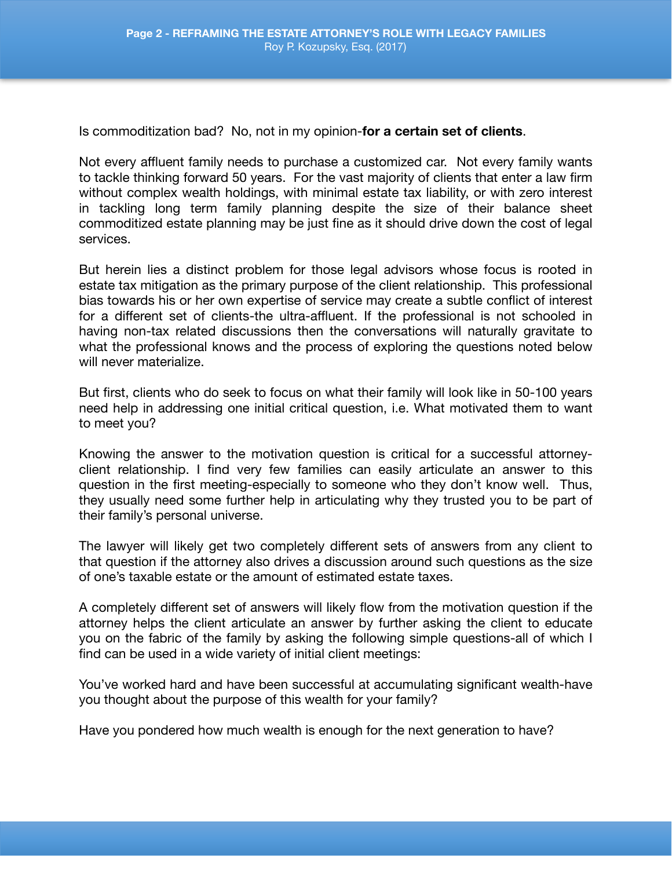Is commoditization bad? No, not in my opinion-**for a certain set of clients**.

Not every affluent family needs to purchase a customized car. Not every family wants to tackle thinking forward 50 years. For the vast majority of clients that enter a law firm without complex wealth holdings, with minimal estate tax liability, or with zero interest in tackling long term family planning despite the size of their balance sheet commoditized estate planning may be just fine as it should drive down the cost of legal services.

But herein lies a distinct problem for those legal advisors whose focus is rooted in estate tax mitigation as the primary purpose of the client relationship. This professional bias towards his or her own expertise of service may create a subtle conflict of interest for a different set of clients-the ultra-affluent. If the professional is not schooled in having non-tax related discussions then the conversations will naturally gravitate to what the professional knows and the process of exploring the questions noted below will never materialize.

But first, clients who do seek to focus on what their family will look like in 50-100 years need help in addressing one initial critical question, i.e. What motivated them to want to meet you?

Knowing the answer to the motivation question is critical for a successful attorneyclient relationship. I find very few families can easily articulate an answer to this question in the first meeting-especially to someone who they don't know well. Thus, they usually need some further help in articulating why they trusted you to be part of their family's personal universe.

The lawyer will likely get two completely different sets of answers from any client to that question if the attorney also drives a discussion around such questions as the size of one's taxable estate or the amount of estimated estate taxes.

A completely different set of answers will likely flow from the motivation question if the attorney helps the client articulate an answer by further asking the client to educate you on the fabric of the family by asking the following simple questions-all of which I find can be used in a wide variety of initial client meetings:

You've worked hard and have been successful at accumulating significant wealth-have you thought about the purpose of this wealth for your family?

Have you pondered how much wealth is enough for the next generation to have?